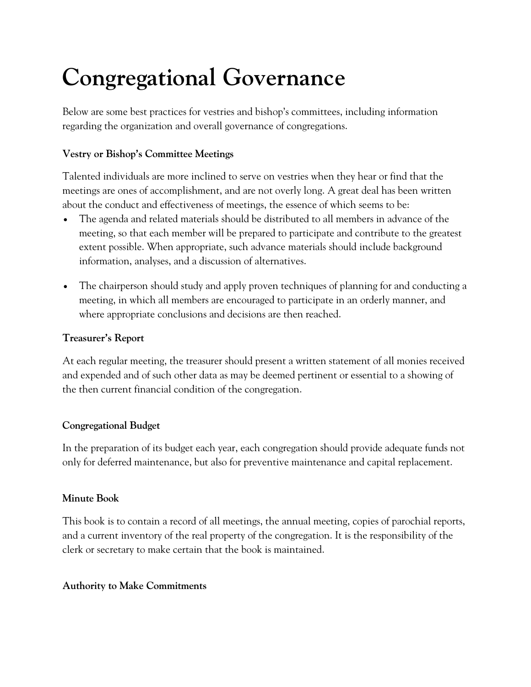# **Congregational Governance**

Below are some best practices for vestries and bishop's committees, including information regarding the organization and overall governance of congregations.

## **Vestry or Bishop's Committee Meetings**

Talented individuals are more inclined to serve on vestries when they hear or find that the meetings are ones of accomplishment, and are not overly long. A great deal has been written about the conduct and effectiveness of meetings, the essence of which seems to be:

- The agenda and related materials should be distributed to all members in advance of the meeting, so that each member will be prepared to participate and contribute to the greatest extent possible. When appropriate, such advance materials should include background information, analyses, and a discussion of alternatives.
- The chairperson should study and apply proven techniques of planning for and conducting a meeting, in which all members are encouraged to participate in an orderly manner, and where appropriate conclusions and decisions are then reached.

#### **Treasurer's Report**

At each regular meeting, the treasurer should present a written statement of all monies received and expended and of such other data as may be deemed pertinent or essential to a showing of the then current financial condition of the congregation.

#### **Congregational Budget**

In the preparation of its budget each year, each congregation should provide adequate funds not only for deferred maintenance, but also for preventive maintenance and capital replacement.

#### **Minute Book**

This book is to contain a record of all meetings, the annual meeting, copies of parochial reports, and a current inventory of the real property of the congregation. It is the responsibility of the clerk or secretary to make certain that the book is maintained.

#### **Authority to Make Commitments**